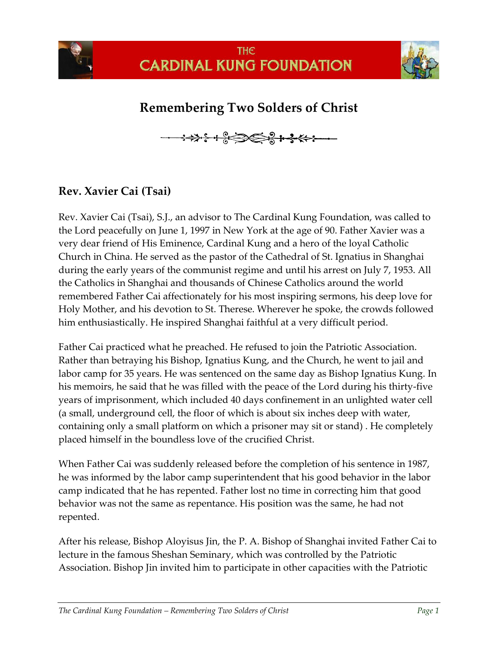

## **Remembering Two Solders of Christ**



## **Rev. Xavier Cai (Tsai)**

Rev. Xavier Cai (Tsai), S.J., an advisor to The Cardinal Kung Foundation, was called to the Lord peacefully on June 1, 1997 in New York at the age of 90. Father Xavier was a very dear friend of His Eminence, Cardinal Kung and a hero of the loyal Catholic Church in China. He served as the pastor of the Cathedral of St. Ignatius in Shanghai during the early years of the communist regime and until his arrest on July 7, 1953. All the Catholics in Shanghai and thousands of Chinese Catholics around the world remembered Father Cai affectionately for his most inspiring sermons, his deep love for Holy Mother, and his devotion to St. Therese. Wherever he spoke, the crowds followed him enthusiastically. He inspired Shanghai faithful at a very difficult period.

Father Cai practiced what he preached. He refused to join the Patriotic Association. Rather than betraying his Bishop, Ignatius Kung, and the Church, he went to jail and labor camp for 35 years. He was sentenced on the same day as Bishop Ignatius Kung. In his memoirs, he said that he was filled with the peace of the Lord during his thirty-five years of imprisonment, which included 40 days confinement in an unlighted water cell (a small, underground cell, the floor of which is about six inches deep with water, containing only a small platform on which a prisoner may sit or stand) . He completely placed himself in the boundless love of the crucified Christ.

When Father Cai was suddenly released before the completion of his sentence in 1987, he was informed by the labor camp superintendent that his good behavior in the labor camp indicated that he has repented. Father lost no time in correcting him that good behavior was not the same as repentance. His position was the same, he had not repented.

After his release, Bishop Aloyisus Jin, the P. A. Bishop of Shanghai invited Father Cai to lecture in the famous Sheshan Seminary, which was controlled by the Patriotic Association. Bishop Jin invited him to participate in other capacities with the Patriotic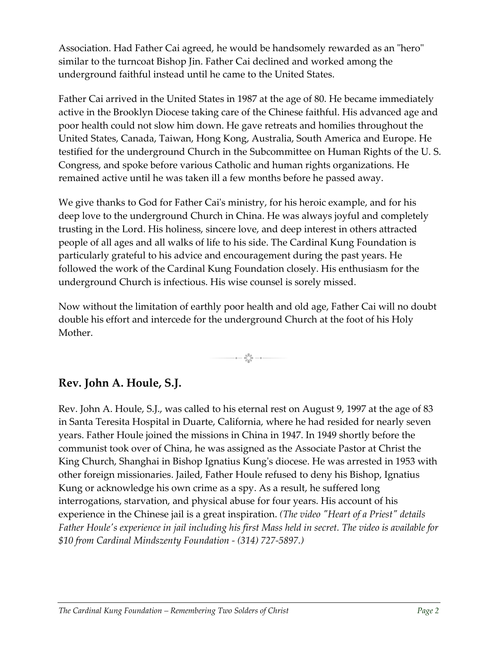Association. Had Father Cai agreed, he would be handsomely rewarded as an "hero" similar to the turncoat Bishop Jin. Father Cai declined and worked among the underground faithful instead until he came to the United States.

Father Cai arrived in the United States in 1987 at the age of 80. He became immediately active in the Brooklyn Diocese taking care of the Chinese faithful. His advanced age and poor health could not slow him down. He gave retreats and homilies throughout the United States, Canada, Taiwan, Hong Kong, Australia, South America and Europe. He testified for the underground Church in the Subcommittee on Human Rights of the U. S. Congress, and spoke before various Catholic and human rights organizations. He remained active until he was taken ill a few months before he passed away.

We give thanks to God for Father Cai's ministry, for his heroic example, and for his deep love to the underground Church in China. He was always joyful and completely trusting in the Lord. His holiness, sincere love, and deep interest in others attracted people of all ages and all walks of life to his side. The Cardinal Kung Foundation is particularly grateful to his advice and encouragement during the past years. He followed the work of the Cardinal Kung Foundation closely. His enthusiasm for the underground Church is infectious. His wise counsel is sorely missed.

Now without the limitation of earthly poor health and old age, Father Cai will no doubt double his effort and intercede for the underground Church at the foot of his Holy Mother.

 $\mathbf{a} = \mathbf{a}^{\mathbf{g}_\mathbf{g}}_{\mathbf{g}_\mathbf{g}} = \mathbf{a} \cdot \mathbf{a}$ 

## **Rev. John A. Houle, S.J.**

Rev. John A. Houle, S.J., was called to his eternal rest on August 9, 1997 at the age of 83 in Santa Teresita Hospital in Duarte, California, where he had resided for nearly seven years. Father Houle joined the missions in China in 1947. In 1949 shortly before the communist took over of China, he was assigned as the Associate Pastor at Christ the King Church, Shanghai in Bishop Ignatius Kung's diocese. He was arrested in 1953 with other foreign missionaries. Jailed, Father Houle refused to deny his Bishop, Ignatius Kung or acknowledge his own crime as a spy. As a result, he suffered long interrogations, starvation, and physical abuse for four years. His account of his experience in the Chinese jail is a great inspiration. *(The video "Heart of a Priest" details Father Houle's experience in jail including his first Mass held in secret. The video is available for \$10 from Cardinal Mindszenty Foundation - (314) 727-5897.)*